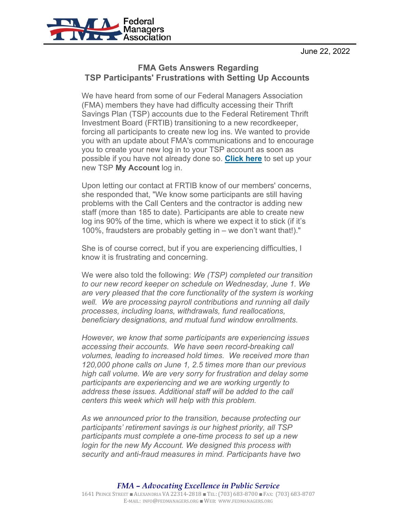

## **FMA Gets Answers Regarding TSP Participants' Frustrations with Setting Up Accounts**

We have heard from some of our Federal Managers Association (FMA) members they have had difficulty accessing their Thrift Savings Plan (TSP) accounts due to the Federal Retirement Thrift Investment Board (FRTIB) transitioning to a new recordkeeper, forcing all participants to create new log ins. We wanted to provide you with an update about FMA's communications and to encourage you to create your new log in to your TSP account as soon as possible if you have not already done so. **[Click here](http://email.robly.com/ls/click?upn=at6-2FYoOaZcuw6L09yCIrXFeyawgYnc3oRye78YRNNug-3D3pFn_fRye-2FbAeGKLKH-2BSHVbhAye-2FavFLqa6yHEBVxVj1X6TOh11FLgvZMqjW9lA99rlsJ5-2FB8S5guB1O09Yid-2BLU-2FEu2YCcJBDsgoK6GmrNwAxTxJHpBJuSFZzKW7kuEy2kpmQSQjYop9iejm1vceV6LuAcQyvu9oAUMN1nDD7wUDxAZEVot34orL4cp3rBKB1dr7N8f-2BpJbvBOg75-2FVSIlDeed-2F5GBi9csHjscxdaddenL0F3Bopw40sJwNaJTIN835t6AxjAXOk1IKe0DsVU3pPLWm3-2FS8TUgihJEGrGcV0Xr2-2F8fHiKWLMYSFRc3cxciKoEXPtkW0EvQYimB6ukQ4uZsHOMSrw1hcn4Mskcn4k716VylMWm30kSW1yAwegxV4H7TQMdELApnvYBmHVOH74zBUNTkWtBiJ-2B5npqxdg4dxEA-2FKDwTW1BZutLPcbwWs3x4hBDbcs273yKQMDtNDL37Q-3D-3D)** to set up your new TSP **My Account** log in.

Upon letting our contact at FRTIB know of our members' concerns, she responded that, "We know some participants are still having problems with the Call Centers and the contractor is adding new staff (more than 185 to date). Participants are able to create new log ins 90% of the time, which is where we expect it to stick (if it's 100%, fraudsters are probably getting in – we don't want that!)."

She is of course correct, but if you are experiencing difficulties, I know it is frustrating and concerning.

We were also told the following: *We (TSP) completed our transition to our new record keeper on schedule on Wednesday, June 1. We are very pleased that the core functionality of the system is working well. We are processing payroll contributions and running all daily processes, including loans, withdrawals, fund reallocations, beneficiary designations, and mutual fund window enrollments.*

*However, we know that some participants are experiencing issues accessing their accounts. We have seen record-breaking call volumes, leading to increased hold times. We received more than 120,000 phone calls on June 1, 2.5 times more than our previous high call volume. We are very sorry for frustration and delay some participants are experiencing and we are working urgently to address these issues. Additional staff will be added to the call centers this week which will help with this problem.*

*As we announced prior to the transition, because protecting our participants' retirement savings is our highest priority, all TSP participants must complete a one-time process to set up a new*  login for the new My Account. We designed this process with *security and anti-fraud measures in mind. Participants have two*